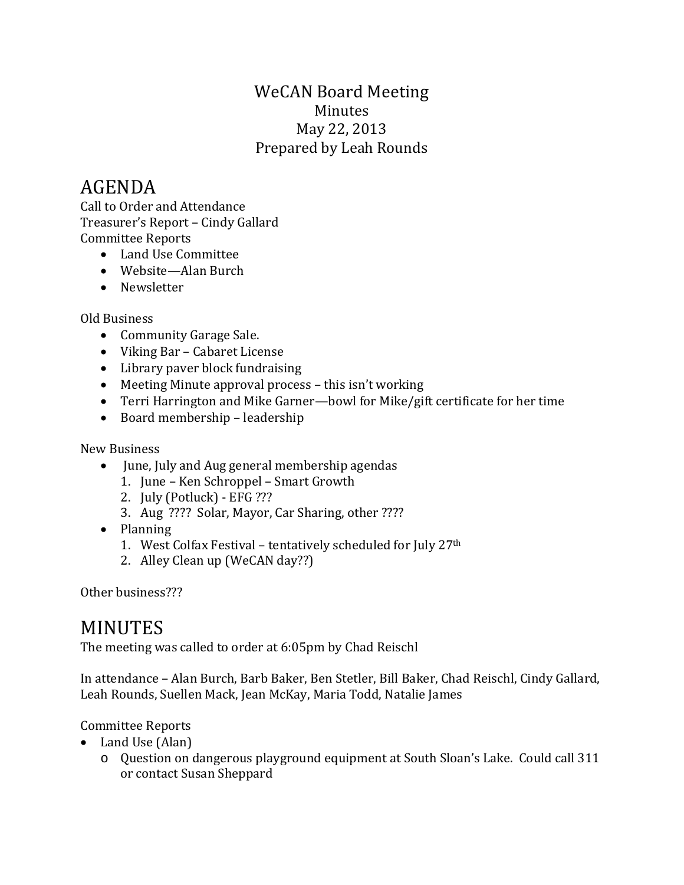### WeCAN Board Meeting Minutes May 22, 2013 Prepared by Leah Rounds

# AGENDA

Call to Order and Attendance Treasurer's Report – Cindy Gallard Committee Reports

- Land Use Committee
- Website—Alan Burch
- Newsletter

#### Old Business

- Community Garage Sale.
- Viking Bar Cabaret License
- Library paver block fundraising
- Meeting Minute approval process this isn't working
- Terri Harrington and Mike Garner—bowl for Mike/gift certificate for her time
- Board membership leadership

New Business

- June, July and Aug general membership agendas
	- 1. June Ken Schroppel Smart Growth
	- 2. July (Potluck) EFG ???
	- 3. Aug ???? Solar, Mayor, Car Sharing, other ????
- Planning
	- 1. West Colfax Festival tentatively scheduled for July 27th
	- 2. Alley Clean up (WeCAN day??)

Other business???

## MINUTES

The meeting was called to order at 6:05pm by Chad Reischl

In attendance – Alan Burch, Barb Baker, Ben Stetler, Bill Baker, Chad Reischl, Cindy Gallard, Leah Rounds, Suellen Mack, Jean McKay, Maria Todd, Natalie James

### Committee Reports

- Land Use (Alan)
	- o Question on dangerous playground equipment at South Sloan's Lake. Could call 311 or contact Susan Sheppard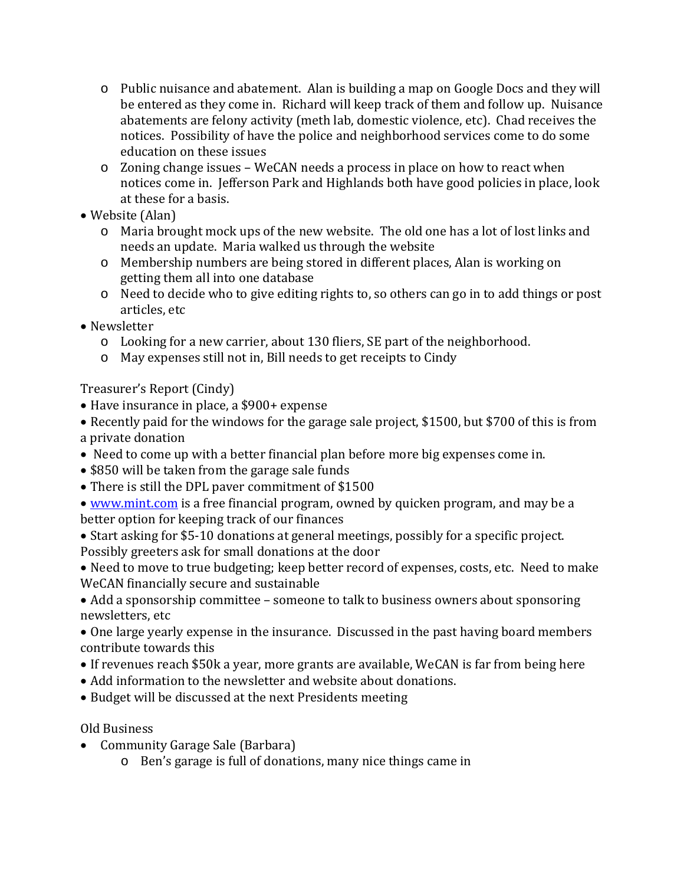- o Public nuisance and abatement. Alan is building a map on Google Docs and they will be entered as they come in. Richard will keep track of them and follow up. Nuisance abatements are felony activity (meth lab, domestic violence, etc). Chad receives the notices. Possibility of have the police and neighborhood services come to do some education on these issues
- o Zoning change issues WeCAN needs a process in place on how to react when notices come in. Jefferson Park and Highlands both have good policies in place, look at these for a basis.
- Website (Alan)
	- o Maria brought mock ups of the new website. The old one has a lot of lost links and needs an update. Maria walked us through the website
	- o Membership numbers are being stored in different places, Alan is working on getting them all into one database
	- o Need to decide who to give editing rights to, so others can go in to add things or post articles, etc
- Newsletter
	- $\circ$  Looking for a new carrier, about 130 fliers, SE part of the neighborhood.
	- o May expenses still not in, Bill needs to get receipts to Cindy

Treasurer's Report (Cindy)

- Have insurance in place, a \$900+ expense
- Recently paid for the windows for the garage sale project, \$1500, but \$700 of this is from a private donation
- Need to come up with a better financial plan before more big expenses come in.
- \$850 will be taken from the garage sale funds
- There is still the DPL paver commitment of \$1500
- [www.mint.com](http://www.mint.com/) is a free financial program, owned by quicken program, and may be a better option for keeping track of our finances

• Start asking for \$5-10 donations at general meetings, possibly for a specific project. Possibly greeters ask for small donations at the door

• Need to move to true budgeting; keep better record of expenses, costs, etc. Need to make WeCAN financially secure and sustainable

• Add a sponsorship committee – someone to talk to business owners about sponsoring newsletters, etc

• One large yearly expense in the insurance. Discussed in the past having board members contribute towards this

- If revenues reach \$50k a year, more grants are available, WeCAN is far from being here
- Add information to the newsletter and website about donations.
- Budget will be discussed at the next Presidents meeting

Old Business

- Community Garage Sale (Barbara)
	- o Ben's garage is full of donations, many nice things came in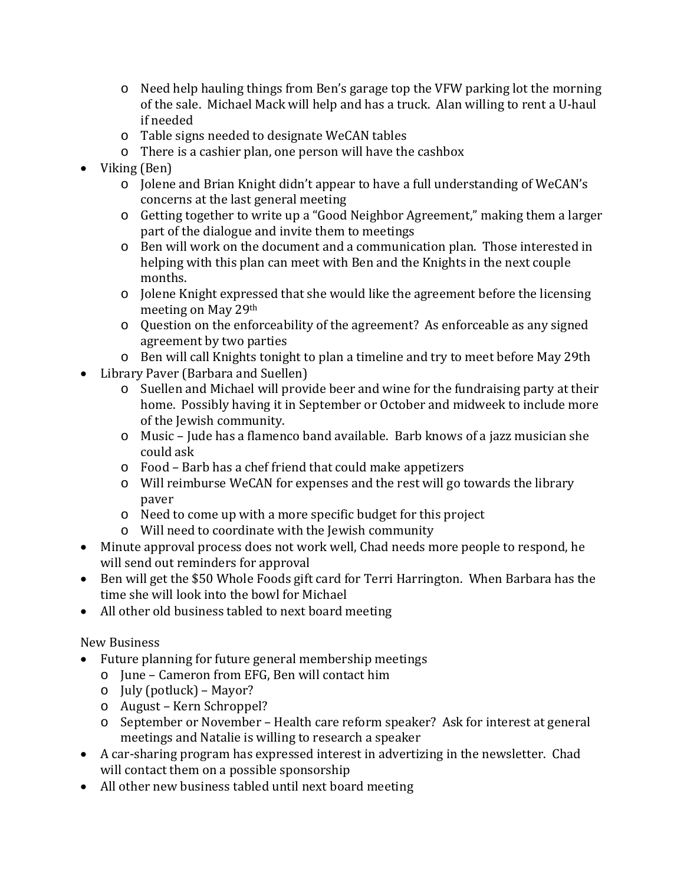- o Need help hauling things from Ben's garage top the VFW parking lot the morning of the sale. Michael Mack will help and has a truck. Alan willing to rent a U-haul if needed
- o Table signs needed to designate WeCAN tables
- o There is a cashier plan, one person will have the cashbox
- Viking (Ben)
	- o Jolene and Brian Knight didn't appear to have a full understanding of WeCAN's concerns at the last general meeting
	- o Getting together to write up a "Good Neighbor Agreement," making them a larger part of the dialogue and invite them to meetings
	- o Ben will work on the document and a communication plan. Those interested in helping with this plan can meet with Ben and the Knights in the next couple months.
	- o Jolene Knight expressed that she would like the agreement before the licensing meeting on May 29th
	- o Question on the enforceability of the agreement? As enforceable as any signed agreement by two parties
	- o Ben will call Knights tonight to plan a timeline and try to meet before May 29th
- Library Paver (Barbara and Suellen)
	- o Suellen and Michael will provide beer and wine for the fundraising party at their home. Possibly having it in September or October and midweek to include more of the Jewish community.
	- o Music Jude has a flamenco band available. Barb knows of a jazz musician she could ask
	- o Food Barb has a chef friend that could make appetizers
	- o Will reimburse WeCAN for expenses and the rest will go towards the library paver
	- o Need to come up with a more specific budget for this project
	- o Will need to coordinate with the Jewish community
- Minute approval process does not work well, Chad needs more people to respond, he will send out reminders for approval
- Ben will get the \$50 Whole Foods gift card for Terri Harrington. When Barbara has the time she will look into the bowl for Michael
- All other old business tabled to next board meeting

### New Business

- Future planning for future general membership meetings
	- o June Cameron from EFG, Ben will contact him
	- o July (potluck) Mayor?
	- o August Kern Schroppel?
	- o September or November Health care reform speaker? Ask for interest at general meetings and Natalie is willing to research a speaker
- A car-sharing program has expressed interest in advertizing in the newsletter. Chad will contact them on a possible sponsorship
- All other new business tabled until next board meeting